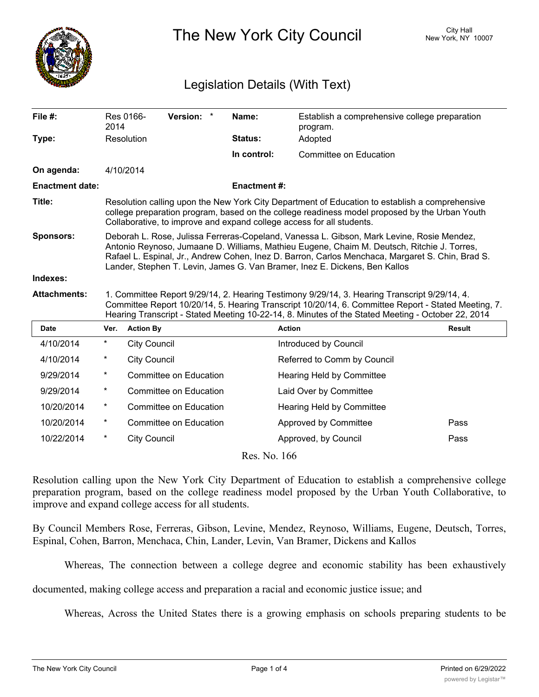

The New York City Council New York, NY 10007

## Legislation Details (With Text)

| File #:                | 2014                                                                                                                                                                                                                                                                                                                                                                      | Res 0166-           | Version: *                    |  | Name:               | Establish a comprehensive college preparation<br>program. |               |
|------------------------|---------------------------------------------------------------------------------------------------------------------------------------------------------------------------------------------------------------------------------------------------------------------------------------------------------------------------------------------------------------------------|---------------------|-------------------------------|--|---------------------|-----------------------------------------------------------|---------------|
| Type:                  |                                                                                                                                                                                                                                                                                                                                                                           | Resolution          |                               |  | Status:             | Adopted                                                   |               |
|                        |                                                                                                                                                                                                                                                                                                                                                                           |                     |                               |  | In control:         | Committee on Education                                    |               |
| On agenda:             | 4/10/2014                                                                                                                                                                                                                                                                                                                                                                 |                     |                               |  |                     |                                                           |               |
| <b>Enactment date:</b> |                                                                                                                                                                                                                                                                                                                                                                           |                     |                               |  | <b>Enactment #:</b> |                                                           |               |
| Title:                 | Resolution calling upon the New York City Department of Education to establish a comprehensive<br>college preparation program, based on the college readiness model proposed by the Urban Youth<br>Collaborative, to improve and expand college access for all students.                                                                                                  |                     |                               |  |                     |                                                           |               |
| <b>Sponsors:</b>       | Deborah L. Rose, Julissa Ferreras-Copeland, Vanessa L. Gibson, Mark Levine, Rosie Mendez,<br>Antonio Reynoso, Jumaane D. Williams, Mathieu Eugene, Chaim M. Deutsch, Ritchie J. Torres,<br>Rafael L. Espinal, Jr., Andrew Cohen, Inez D. Barron, Carlos Menchaca, Margaret S. Chin, Brad S.<br>Lander, Stephen T. Levin, James G. Van Bramer, Inez E. Dickens, Ben Kallos |                     |                               |  |                     |                                                           |               |
| Indexes:               |                                                                                                                                                                                                                                                                                                                                                                           |                     |                               |  |                     |                                                           |               |
| <b>Attachments:</b>    | 1. Committee Report 9/29/14, 2. Hearing Testimony 9/29/14, 3. Hearing Transcript 9/29/14, 4.<br>Committee Report 10/20/14, 5. Hearing Transcript 10/20/14, 6. Committee Report - Stated Meeting, 7.<br>Hearing Transcript - Stated Meeting 10-22-14, 8. Minutes of the Stated Meeting - October 22, 2014                                                                  |                     |                               |  |                     |                                                           |               |
| <b>Date</b>            | Ver.                                                                                                                                                                                                                                                                                                                                                                      | <b>Action By</b>    |                               |  |                     | <b>Action</b>                                             | <b>Result</b> |
| 4/10/2014              | $^{\star}$                                                                                                                                                                                                                                                                                                                                                                | <b>City Council</b> |                               |  |                     | Introduced by Council                                     |               |
| 4/10/2014              | *                                                                                                                                                                                                                                                                                                                                                                         | <b>City Council</b> |                               |  |                     | Referred to Comm by Council                               |               |
| 9/29/2014              | $\ast$                                                                                                                                                                                                                                                                                                                                                                    |                     | <b>Committee on Education</b> |  |                     | Hearing Held by Committee                                 |               |
| 9/29/2014              | *                                                                                                                                                                                                                                                                                                                                                                         |                     | Committee on Education        |  |                     | Laid Over by Committee                                    |               |
| 10/20/2014             | $^\star$                                                                                                                                                                                                                                                                                                                                                                  |                     | <b>Committee on Education</b> |  |                     | Hearing Held by Committee                                 |               |
| 10/20/2014             | $^\star$                                                                                                                                                                                                                                                                                                                                                                  |                     | <b>Committee on Education</b> |  |                     | Approved by Committee                                     | Pass          |
| 10/22/2014             | *                                                                                                                                                                                                                                                                                                                                                                         | <b>City Council</b> |                               |  |                     | Approved, by Council                                      | Pass          |
|                        |                                                                                                                                                                                                                                                                                                                                                                           |                     |                               |  |                     |                                                           |               |

Res. No. 166

Resolution calling upon the New York City Department of Education to establish a comprehensive college preparation program, based on the college readiness model proposed by the Urban Youth Collaborative, to improve and expand college access for all students.

By Council Members Rose, Ferreras, Gibson, Levine, Mendez, Reynoso, Williams, Eugene, Deutsch, Torres, Espinal, Cohen, Barron, Menchaca, Chin, Lander, Levin, Van Bramer, Dickens and Kallos

Whereas, The connection between a college degree and economic stability has been exhaustively

documented, making college access and preparation a racial and economic justice issue; and

Whereas, Across the United States there is a growing emphasis on schools preparing students to be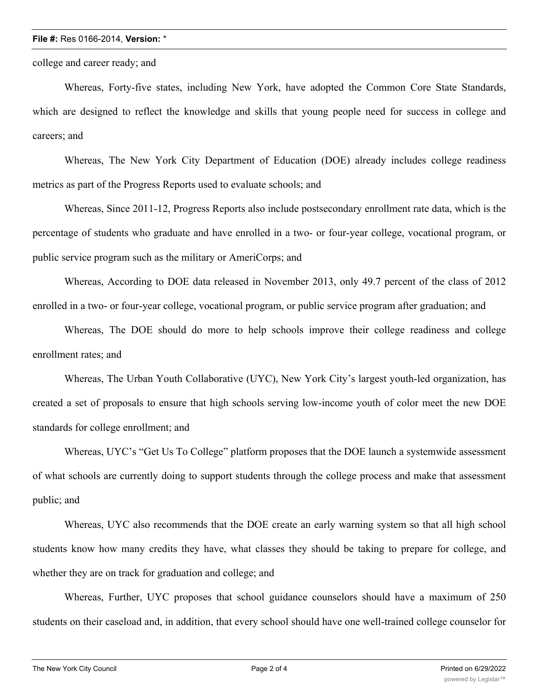## **File #:** Res 0166-2014, **Version:** \*

college and career ready; and

Whereas, Forty-five states, including New York, have adopted the Common Core State Standards, which are designed to reflect the knowledge and skills that young people need for success in college and careers; and

Whereas, The New York City Department of Education (DOE) already includes college readiness metrics as part of the Progress Reports used to evaluate schools; and

Whereas, Since 2011-12, Progress Reports also include postsecondary enrollment rate data, which is the percentage of students who graduate and have enrolled in a two- or four-year college, vocational program, or public service program such as the military or AmeriCorps; and

Whereas, According to DOE data released in November 2013, only 49.7 percent of the class of 2012 enrolled in a two- or four-year college, vocational program, or public service program after graduation; and

Whereas, The DOE should do more to help schools improve their college readiness and college enrollment rates; and

Whereas, The Urban Youth Collaborative (UYC), New York City's largest youth-led organization, has created a set of proposals to ensure that high schools serving low-income youth of color meet the new DOE standards for college enrollment; and

Whereas, UYC's "Get Us To College" platform proposes that the DOE launch a systemwide assessment of what schools are currently doing to support students through the college process and make that assessment public; and

Whereas, UYC also recommends that the DOE create an early warning system so that all high school students know how many credits they have, what classes they should be taking to prepare for college, and whether they are on track for graduation and college; and

Whereas, Further, UYC proposes that school guidance counselors should have a maximum of 250 students on their caseload and, in addition, that every school should have one well-trained college counselor for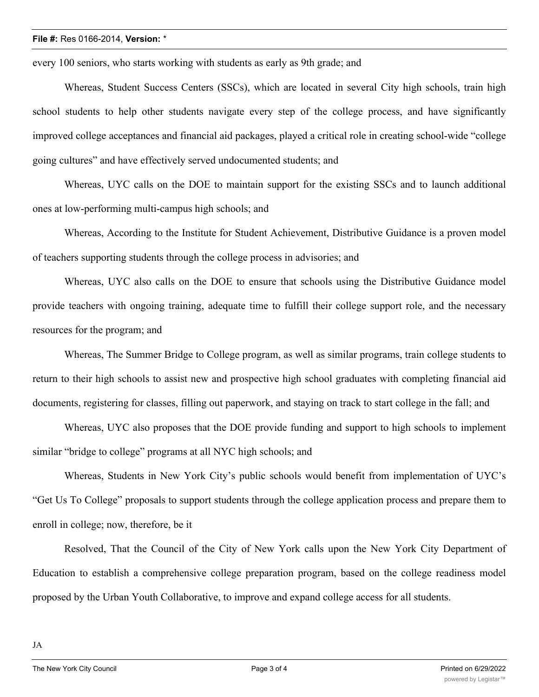## **File #:** Res 0166-2014, **Version:** \*

every 100 seniors, who starts working with students as early as 9th grade; and

Whereas, Student Success Centers (SSCs), which are located in several City high schools, train high school students to help other students navigate every step of the college process, and have significantly improved college acceptances and financial aid packages, played a critical role in creating school-wide "college going cultures" and have effectively served undocumented students; and

Whereas, UYC calls on the DOE to maintain support for the existing SSCs and to launch additional ones at low-performing multi-campus high schools; and

Whereas, According to the Institute for Student Achievement, Distributive Guidance is a proven model of teachers supporting students through the college process in advisories; and

Whereas, UYC also calls on the DOE to ensure that schools using the Distributive Guidance model provide teachers with ongoing training, adequate time to fulfill their college support role, and the necessary resources for the program; and

Whereas, The Summer Bridge to College program, as well as similar programs, train college students to return to their high schools to assist new and prospective high school graduates with completing financial aid documents, registering for classes, filling out paperwork, and staying on track to start college in the fall; and

Whereas, UYC also proposes that the DOE provide funding and support to high schools to implement similar "bridge to college" programs at all NYC high schools; and

Whereas, Students in New York City's public schools would benefit from implementation of UYC's "Get Us To College" proposals to support students through the college application process and prepare them to enroll in college; now, therefore, be it

Resolved, That the Council of the City of New York calls upon the New York City Department of Education to establish a comprehensive college preparation program, based on the college readiness model proposed by the Urban Youth Collaborative, to improve and expand college access for all students.